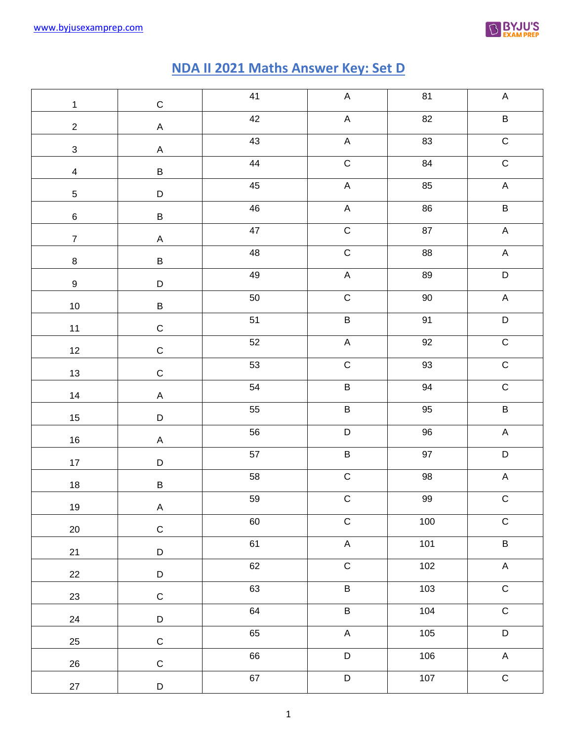

## **NDA II 2021 Maths Answer Key: Set D**

| $\mathbf{1}$            | $\mathsf C$ | 41          | $\mathsf A$    | 81         | $\boldsymbol{\mathsf{A}}$ |
|-------------------------|-------------|-------------|----------------|------------|---------------------------|
| $\overline{2}$          | $\mathsf A$ | 42          | $\mathsf A$    | 82         | B                         |
| $\mathbf{3}$            | $\mathsf A$ | 43          | $\mathsf A$    | 83         | ${\bf C}$                 |
| $\overline{\mathbf{4}}$ | $\sf B$     | 44          | $\mathsf C$    | 84         | ${\bf C}$                 |
| $\sqrt{5}$              | $\mathsf D$ | $45\,$      | $\mathsf A$    | 85         | $\mathsf A$               |
| $\,6\,$                 | $\sf B$     | $\sqrt{46}$ | $\mathsf A$    | $86\,$     | $\sf B$                   |
| $\overline{7}$          | $\mathsf A$ | $47\,$      | $\mathsf C$    | ${\bf 87}$ | $\mathsf A$               |
| $\bf 8$                 | $\sf B$     | 48          | $\mathsf C$    | ${\bf 88}$ | $\mathsf A$               |
| $\boldsymbol{9}$        | $\mathsf D$ | 49          | $\mathsf A$    | 89         | $\overline{D}$            |
| $10\,$                  | $\sf B$     | 50          | $\mathsf C$    | $90\,$     | $\mathsf A$               |
| 11                      | $\mathsf C$ | 51          | $\overline{B}$ | 91         | D                         |
| 12                      | $\mathsf C$ | 52          | $\mathsf A$    | $92\,$     | $\overline{C}$            |
| 13                      | $\mathsf C$ | 53          | $\overline{C}$ | 93         | $\overline{C}$            |
| 14                      | $\mathsf A$ | 54          | $\sf B$        | 94         | $\overline{C}$            |
| $15\,$                  | $\mathsf D$ | 55          | $\sf{B}$       | $95\,$     | $\sf B$                   |
| $16\,$                  | $\mathsf A$ | 56          | $\mathsf D$    | $96\,$     | $\mathsf A$               |
| $17\,$                  | $\mathsf D$ | 57          | $\sf B$        | $97\,$     | $\mathsf D$               |
| $18\,$                  | $\sf B$     | 58          | $\mathsf C$    | $98\,$     | $\mathsf A$               |
| 19                      | $\mathsf A$ | 59          | $\overline{C}$ | 99         | $\overline{C}$            |
| 20                      | ${\bf C}$   | 60          | $\overline{C}$ | 100        | $\mathsf C$               |
| 21                      | $\mathsf D$ | 61          | $\sf A$        | 101        | $\sf B$                   |
| 22                      | $\mathsf D$ | 62          | $\overline{C}$ | 102        | $\sf A$                   |
| 23                      | $\mathsf C$ | 63          | $\overline{B}$ | 103        | $\overline{C}$            |
| 24                      | $\mathsf D$ | 64          | $\overline{B}$ | 104        | $\overline{C}$            |
| 25                      | $\mathsf C$ | 65          | $\sf A$        | 105        | $\mathsf D$               |
| 26                      | $\mathsf C$ | 66          | $\overline{D}$ | 106        | $\mathsf A$               |
| 27                      | $\mathsf D$ | 67          | $\mathsf D$    | 107        | $\mathsf C$               |